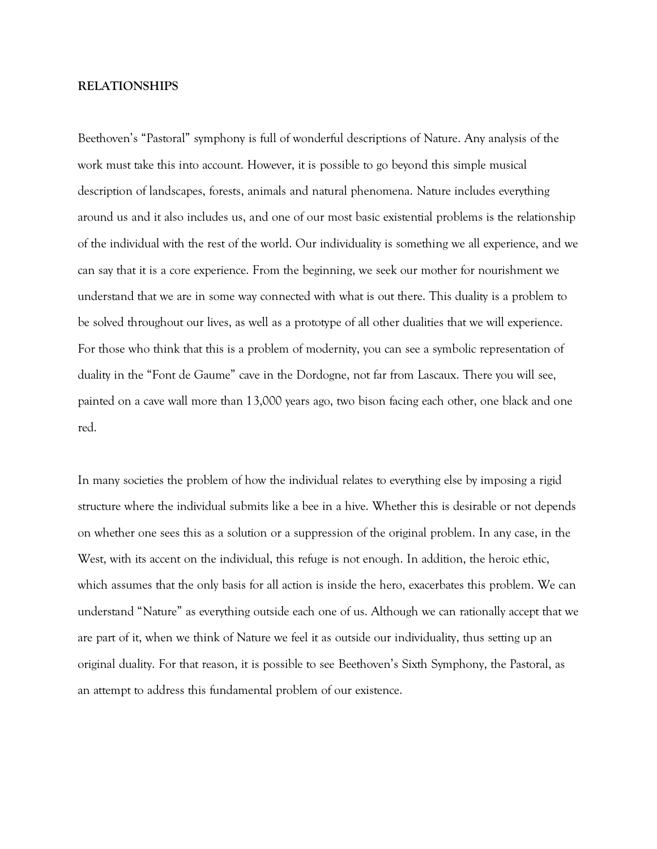## **RELATIONSHIPS**

Beethoven's "Pastoral" symphony is full of wonderful descriptions of Nature. Any analysis of the work must take this into account. However, it is possible to go beyond this simple musical description of landscapes, forests, animals and natural phenomena. Nature includes everything around us and it also includes us, and one of our most basic existential problems is the relationship of the individual with the rest of the world. Our individuality is something we all experience, and we can say that it is a core experience. From the beginning, we seek our mother for nourishment we understand that we are in some way connected with what is out there. This duality is a problem to be solved throughout our lives, as well as a prototype of all other dualities that we will experience. For those who think that this is a problem of modernity, you can see a symbolic representation of duality in the "Font de Gaume" cave in the Dordogne, not far from Lascaux. There you will see, painted on a cave wall more than 13,000 years ago, two bison facing each other, one black and one red.

In many societies the problem of how the individual relates to everything else by imposing a rigid structure where the individual submits like a bee in a hive. Whether this is desirable or not depends on whether one sees this as a solution or a suppression of the original problem. In any case, in the West, with its accent on the individual, this refuge is not enough. In addition, the heroic ethic, which assumes that the only basis for all action is inside the hero, exacerbates this problem. We can understand "Nature" as everything outside each one of us. Although we can rationally accept that we are part of it, when we think of Nature we feel it as outside our individuality, thus setting up an original duality. For that reason, it is possible to see Beethoven's Sixth Symphony, the Pastoral, as an attempt to address this fundamental problem of our existence.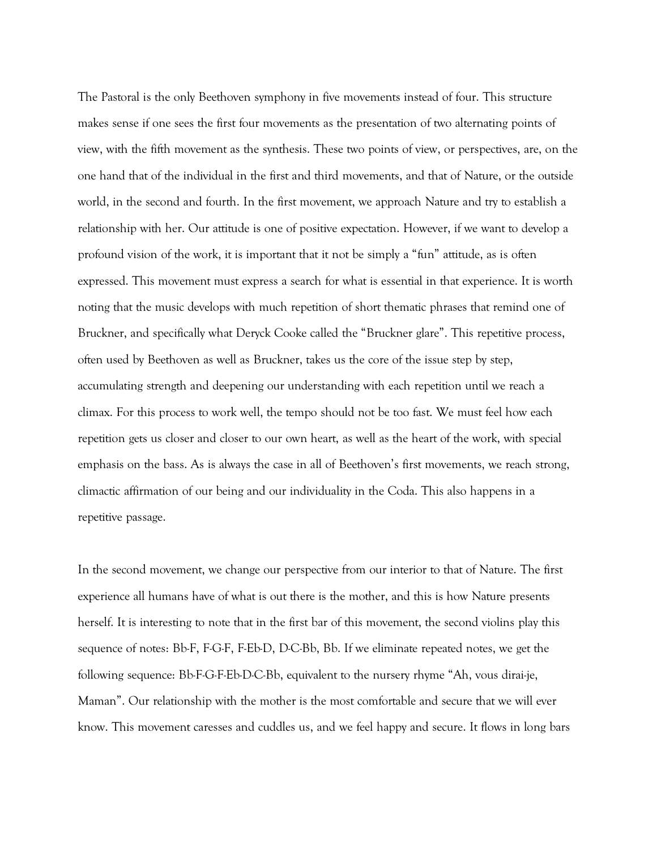The Pastoral is the only Beethoven symphony in five movements instead of four. This structure makes sense if one sees the first four movements as the presentation of two alternating points of view, with the fifth movement as the synthesis. These two points of view, or perspectives, are, on the one hand that of the individual in the first and third movements, and that of Nature, or the outside world, in the second and fourth. In the first movement, we approach Nature and try to establish a relationship with her. Our attitude is one of positive expectation. However, if we want to develop a profound vision of the work, it is important that it not be simply a "fun" attitude, as is often expressed. This movement must express a search for what is essential in that experience. It is worth noting that the music develops with much repetition of short thematic phrases that remind one of Bruckner, and specifically what Deryck Cooke called the "Bruckner glare". This repetitive process, often used by Beethoven as well as Bruckner, takes us the core of the issue step by step, accumulating strength and deepening our understanding with each repetition until we reach a climax. For this process to work well, the tempo should not be too fast. We must feel how each repetition gets us closer and closer to our own heart, as well as the heart of the work, with special emphasis on the bass. As is always the case in all of Beethoven's first movements, we reach strong, climactic affirmation of our being and our individuality in the Coda. This also happens in a repetitive passage.

In the second movement, we change our perspective from our interior to that of Nature. The first experience all humans have of what is out there is the mother, and this is how Nature presents herself. It is interesting to note that in the first bar of this movement, the second violins play this sequence of notes: Bb-F, F-G-F, F-Eb-D, D-C-Bb, Bb. If we eliminate repeated notes, we get the following sequence: Bb-F-G-F-Eb-D-C-Bb, equivalent to the nursery rhyme "Ah, vous dirai-je, Maman". Our relationship with the mother is the most comfortable and secure that we will ever know. This movement caresses and cuddles us, and we feel happy and secure. It flows in long bars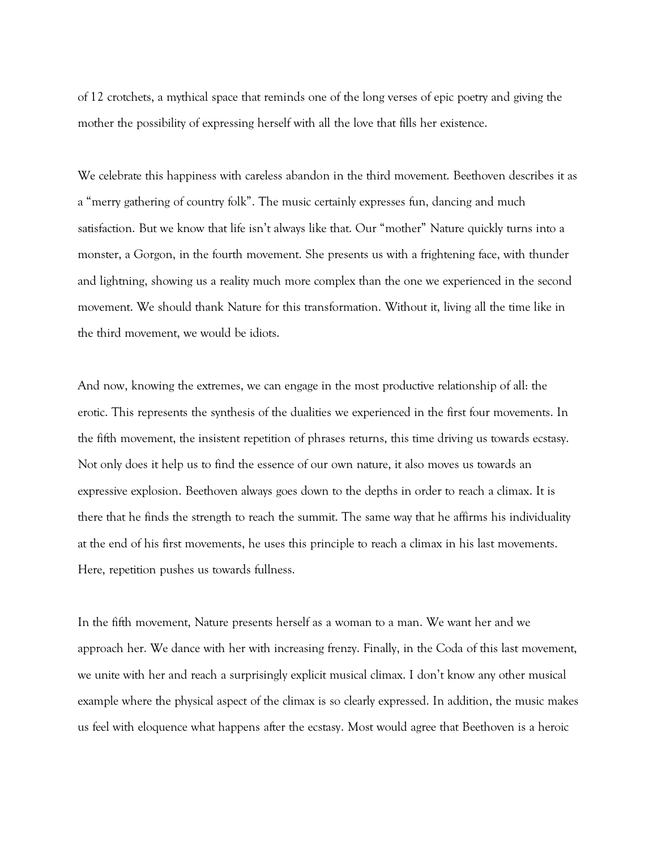of 12 crotchets, a mythical space that reminds one of the long verses of epic poetry and giving the mother the possibility of expressing herself with all the love that fills her existence.

We celebrate this happiness with careless abandon in the third movement. Beethoven describes it as a "merry gathering of country folk". The music certainly expresses fun, dancing and much satisfaction. But we know that life isn't always like that. Our "mother" Nature quickly turns into a monster, a Gorgon, in the fourth movement. She presents us with a frightening face, with thunder and lightning, showing us a reality much more complex than the one we experienced in the second movement. We should thank Nature for this transformation. Without it, living all the time like in the third movement, we would be idiots.

And now, knowing the extremes, we can engage in the most productive relationship of all: the erotic. This represents the synthesis of the dualities we experienced in the first four movements. In the fifth movement, the insistent repetition of phrases returns, this time driving us towards ecstasy. Not only does it help us to find the essence of our own nature, it also moves us towards an expressive explosion. Beethoven always goes down to the depths in order to reach a climax. It is there that he finds the strength to reach the summit. The same way that he affirms his individuality at the end of his first movements, he uses this principle to reach a climax in his last movements. Here, repetition pushes us towards fullness.

In the fifth movement, Nature presents herself as a woman to a man. We want her and we approach her. We dance with her with increasing frenzy. Finally, in the Coda of this last movement, we unite with her and reach a surprisingly explicit musical climax. I don't know any other musical example where the physical aspect of the climax is so clearly expressed. In addition, the music makes us feel with eloquence what happens after the ecstasy. Most would agree that Beethoven is a heroic